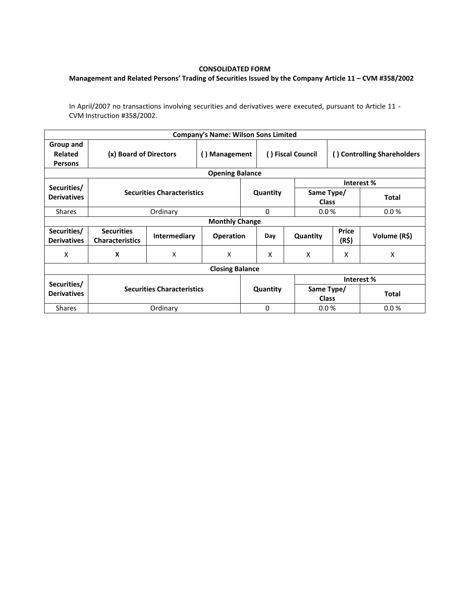## **CONSOLIDATED FORM**

## **Management and Related Persons' Trading of Securities Issued by the Company Article 11 – CVM #358/2002**

In April/2007 no transactions involving securities and derivatives were executed, pursuant to Article 11 - CVM Instruction #358/2002.

|                                        |                                             |                     | <b>Company's Name: Wilson Sons Limited</b> |          |          |                            |                             |              |  |  |  |  |
|----------------------------------------|---------------------------------------------|---------------------|--------------------------------------------|----------|----------|----------------------------|-----------------------------|--------------|--|--|--|--|
| Group and<br>Related<br><b>Persons</b> | (x) Board of Directors                      |                     | Management<br>$\left( \right)$             |          |          | () Fiscal Council          | () Controlling Shareholders |              |  |  |  |  |
| <b>Opening Balance</b>                 |                                             |                     |                                            |          |          |                            |                             |              |  |  |  |  |
| Securities/                            |                                             |                     |                                            |          |          |                            | Interest %                  |              |  |  |  |  |
| <b>Derivatives</b>                     | <b>Securities Characteristics</b>           |                     |                                            | Quantity |          | Same Type/<br><b>Class</b> |                             | <b>Total</b> |  |  |  |  |
| <b>Shares</b>                          |                                             | Ordinary            |                                            |          |          | 0.0%                       |                             | 0.0%         |  |  |  |  |
| <b>Monthly Change</b>                  |                                             |                     |                                            |          |          |                            |                             |              |  |  |  |  |
| Securities/<br><b>Derivatives</b>      | <b>Securities</b><br><b>Characteristics</b> | <b>Intermediary</b> | <b>Operation</b>                           |          | Day      | Quantity                   | <b>Price</b><br>(R\$)       | Volume (R\$) |  |  |  |  |
| X                                      | X                                           | X                   | X                                          |          | X        | X                          | X                           | X            |  |  |  |  |
| <b>Closing Balance</b>                 |                                             |                     |                                            |          |          |                            |                             |              |  |  |  |  |
|                                        |                                             |                     |                                            |          |          | Interest %                 |                             |              |  |  |  |  |
| Securities/<br><b>Derivatives</b>      | <b>Securities Characteristics</b>           |                     |                                            | Quantity |          | Same Type/<br><b>Class</b> |                             | <b>Total</b> |  |  |  |  |
| <b>Shares</b>                          | Ordinary                                    |                     |                                            |          | $\Omega$ | 0.0%                       |                             | 0.0%         |  |  |  |  |